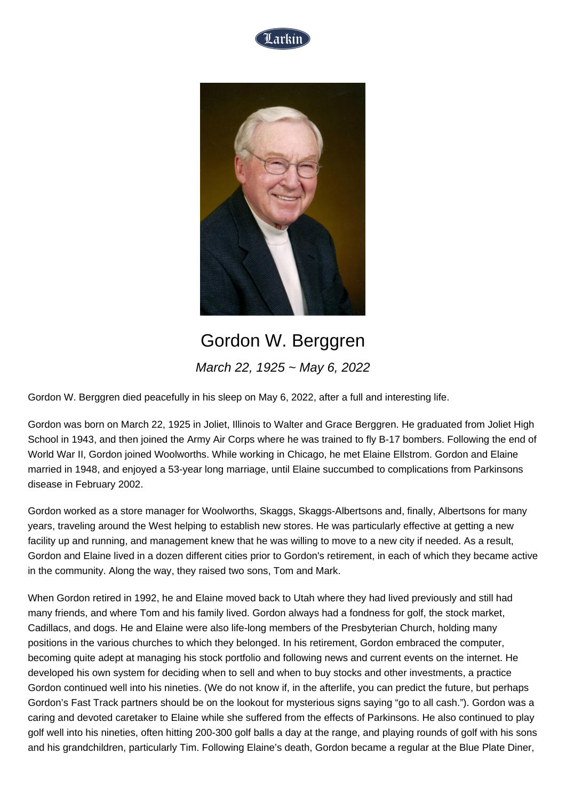



## Gordon W. Berggren March 22, 1925 ~ May 6, 2022

Gordon W. Berggren died peacefully in his sleep on May 6, 2022, after a full and interesting life.

Gordon was born on March 22, 1925 in Joliet, Illinois to Walter and Grace Berggren. He graduated from Joliet High School in 1943, and then joined the Army Air Corps where he was trained to fly B-17 bombers. Following the end of World War II, Gordon joined Woolworths. While working in Chicago, he met Elaine Ellstrom. Gordon and Elaine married in 1948, and enjoyed a 53-year long marriage, until Elaine succumbed to complications from Parkinsons disease in February 2002.

Gordon worked as a store manager for Woolworths, Skaggs, Skaggs-Albertsons and, finally, Albertsons for many years, traveling around the West helping to establish new stores. He was particularly effective at getting a new facility up and running, and management knew that he was willing to move to a new city if needed. As a result, Gordon and Elaine lived in a dozen different cities prior to Gordon's retirement, in each of which they became active in the community. Along the way, they raised two sons, Tom and Mark.

When Gordon retired in 1992, he and Elaine moved back to Utah where they had lived previously and still had many friends, and where Tom and his family lived. Gordon always had a fondness for golf, the stock market, Cadillacs, and dogs. He and Elaine were also life-long members of the Presbyterian Church, holding many positions in the various churches to which they belonged. In his retirement, Gordon embraced the computer, becoming quite adept at managing his stock portfolio and following news and current events on the internet. He developed his own system for deciding when to sell and when to buy stocks and other investments, a practice Gordon continued well into his nineties. (We do not know if, in the afterlife, you can predict the future, but perhaps Gordon's Fast Track partners should be on the lookout for mysterious signs saying "go to all cash."). Gordon was a caring and devoted caretaker to Elaine while she suffered from the effects of Parkinsons. He also continued to play golf well into his nineties, often hitting 200-300 golf balls a day at the range, and playing rounds of golf with his sons and his grandchildren, particularly Tim. Following Elaine's death, Gordon became a regular at the Blue Plate Diner,